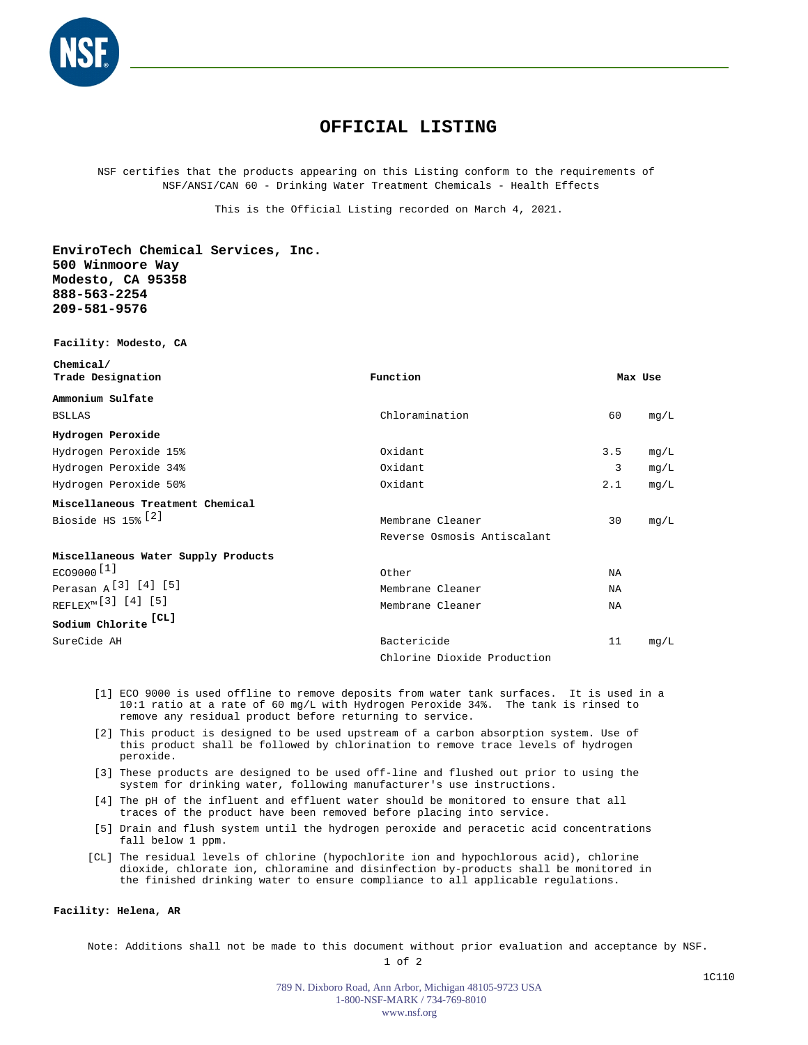

## **OFFICIAL LISTING**

NSF certifies that the products appearing on this Listing conform to the requirements of NSF/ANSI/CAN 60 - Drinking Water Treatment Chemicals - Health Effects

This is the Official Listing recorded on March 4, 2021.

**EnviroTech Chemical Services, Inc. 500 Winmoore Way Modesto, CA 95358 888-563-2254 209-581-9576**

**Facility: Modesto, CA**

| Chemical/<br>Trade Designation                                                                                  | Function                    |     | Max Use |
|-----------------------------------------------------------------------------------------------------------------|-----------------------------|-----|---------|
| Ammonium Sulfate                                                                                                |                             |     |         |
| <b>BSLLAS</b>                                                                                                   | Chloramination              | 60  | mq/L    |
| Hydrogen Peroxide                                                                                               |                             |     |         |
| Hydrogen Peroxide 15%                                                                                           | Oxidant                     | 3.5 | mq/L    |
| Hydrogen Peroxide 34%                                                                                           | Oxidant                     | 3   | mq/L    |
| Hydrogen Peroxide 50%                                                                                           | Oxidant                     | 2.1 | mq/L    |
| Miscellaneous Treatment Chemical                                                                                |                             |     |         |
| Bioside HS 15% [2]                                                                                              | Membrane Cleaner            | 30  | mq/L    |
|                                                                                                                 | Reverse Osmosis Antiscalant |     |         |
| Miscellaneous Water Supply Products                                                                             |                             |     |         |
| $EC09000$ <sup>[1]</sup>                                                                                        | Other                       | NA  |         |
| Perasan A <sup>[3]</sup> [4] [5]                                                                                | Membrane Cleaner            | ΝA  |         |
| REFLEX <sup>™</sup> [3] [4] [5]                                                                                 | Membrane Cleaner            | NA  |         |
| $\begin{array}{ll} \texttt{Sodium} & \texttt{Chlorite} \end{array} \begin{array}{ll} \texttt{[CL]} \end{array}$ |                             |     |         |
| SureCide AH                                                                                                     | Bactericide                 | 11  | mq/L    |
|                                                                                                                 | Chlorine Dioxide Production |     |         |

- [1] ECO 9000 is used offline to remove deposits from water tank surfaces. It is used in a 10:1 ratio at a rate of 60 mg/L with Hydrogen Peroxide 34%. The tank is rinsed to remove any residual product before returning to service.
- [2] This product is designed to be used upstream of a carbon absorption system. Use of this product shall be followed by chlorination to remove trace levels of hydrogen peroxide.
- [3] These products are designed to be used off-line and flushed out prior to using the system for drinking water, following manufacturer's use instructions.
- [4] The pH of the influent and effluent water should be monitored to ensure that all traces of the product have been removed before placing into service.
- [5] Drain and flush system until the hydrogen peroxide and peracetic acid concentrations fall below 1 ppm.
- [CL] The residual levels of chlorine (hypochlorite ion and hypochlorous acid), chlorine dioxide, chlorate ion, chloramine and disinfection by-products shall be monitored in the finished drinking water to ensure compliance to all applicable regulations.

## **Facility: Helena, AR**

Note: Additions shall not be made to this document without prior evaluation and acceptance by NSF.